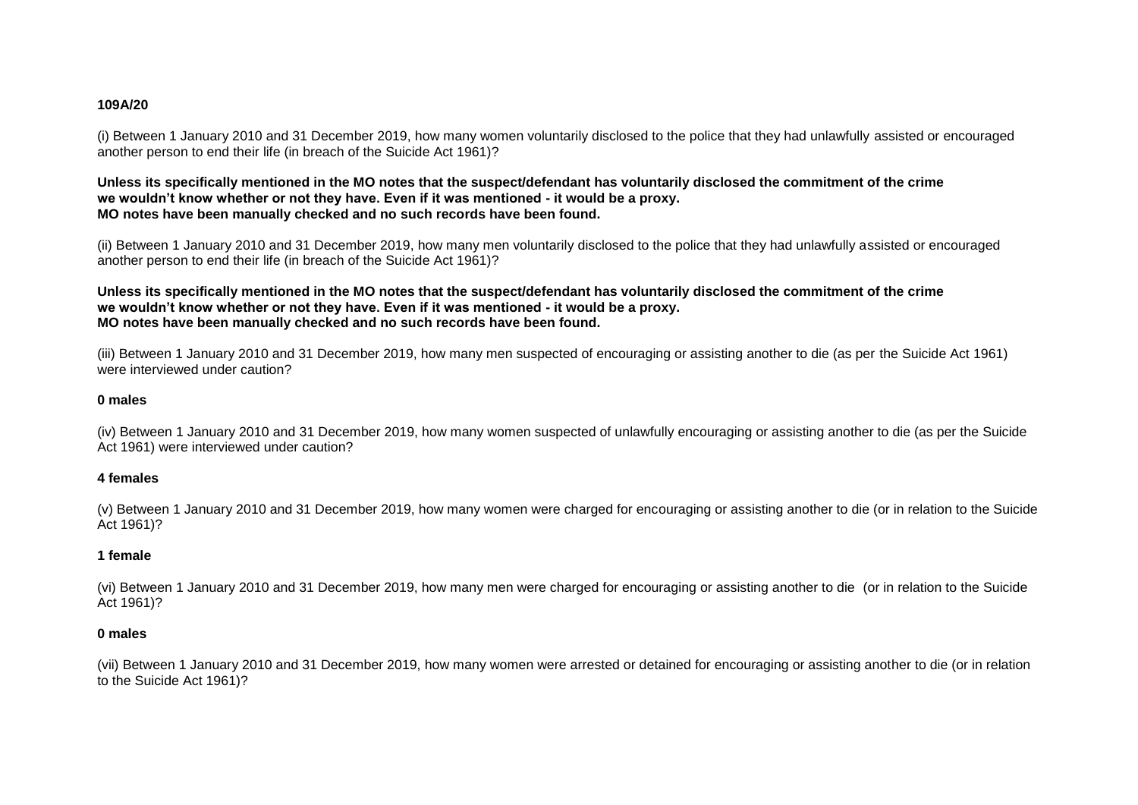#### **109A/20**

(i) Between 1 January 2010 and 31 December 2019, how many women voluntarily disclosed to the police that they had unlawfully assisted or encouraged another person to end their life (in breach of the Suicide Act 1961)?

#### **Unless its specifically mentioned in the MO notes that the suspect/defendant has voluntarily disclosed the commitment of the crime we wouldn't know whether or not they have. Even if it was mentioned - it would be a proxy. MO notes have been manually checked and no such records have been found.**

(ii) Between 1 January 2010 and 31 December 2019, how many men voluntarily disclosed to the police that they had unlawfully assisted or encouraged another person to end their life (in breach of the Suicide Act 1961)?

# **Unless its specifically mentioned in the MO notes that the suspect/defendant has voluntarily disclosed the commitment of the crime we wouldn't know whether or not they have. Even if it was mentioned - it would be a proxy. MO notes have been manually checked and no such records have been found.**

(iii) Between 1 January 2010 and 31 December 2019, how many men suspected of encouraging or assisting another to die (as per the Suicide Act 1961) were interviewed under caution?

# **0 males**

(iv) Between 1 January 2010 and 31 December 2019, how many women suspected of unlawfully encouraging or assisting another to die (as per the Suicide Act 1961) were interviewed under caution?

# **4 females**

(v) Between 1 January 2010 and 31 December 2019, how many women were charged for encouraging or assisting another to die (or in relation to the Suicide Act 1961)?

# **1 female**

(vi) Between 1 January 2010 and 31 December 2019, how many men were charged for encouraging or assisting another to die (or in relation to the Suicide Act 1961)?

# **0 males**

(vii) Between 1 January 2010 and 31 December 2019, how many women were arrested or detained for encouraging or assisting another to die (or in relation to the Suicide Act 1961)?